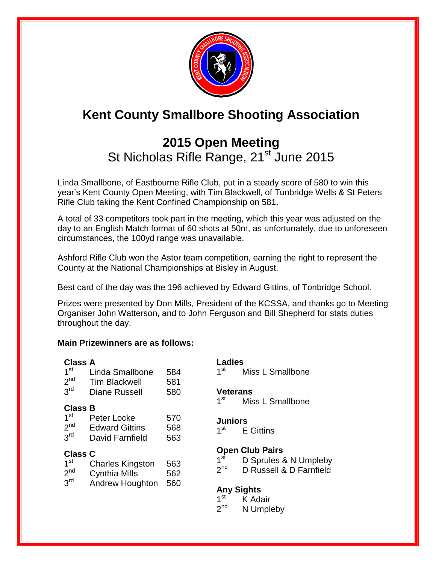

# **Kent County Smallbore Shooting Association**

# **2015 Open Meeting**  St Nicholas Rifle Range, 21<sup>st</sup> June 2015

Linda Smallbone, of Eastbourne Rifle Club, put in a steady score of 580 to win this year's Kent County Open Meeting, with Tim Blackwell, of Tunbridge Wells & St Peters Rifle Club taking the Kent Confined Championship on 581.

A total of 33 competitors took part in the meeting, which this year was adjusted on the day to an English Match format of 60 shots at 50m, as unfortunately, due to unforeseen circumstances, the 100yd range was unavailable.

Ashford Rifle Club won the Astor team competition, earning the right to represent the County at the National Championships at Bisley in August.

Best card of the day was the 196 achieved by Edward Gittins, of Tonbridge School.

Prizes were presented by Don Mills, President of the KCSSA, and thanks go to Meeting Organiser John Watterson, and to John Ferguson and Bill Shepherd for stats duties throughout the day.

#### **Main Prizewinners are as follows:**

| <b>Class A</b><br>1 <sup>st</sup><br>2 <sup>nd</sup><br>3 <sup>rd</sup> | Linda Smallbone<br><b>Tim Blackwell</b><br>Diane Russell           | 584<br>581<br>580 |
|-------------------------------------------------------------------------|--------------------------------------------------------------------|-------------------|
| <b>Class B</b><br>1 <sup>st</sup><br>2 <sup>nd</sup><br>3 <sup>rd</sup> | Peter Locke<br><b>Edward Gittins</b><br>David Farnfield            | 570<br>568<br>563 |
| <b>Class C</b><br>1 <sup>st</sup><br>2 <sup>nd</sup><br>$3^{\text{rd}}$ | Charles Kingston<br><b>Cynthia Mills</b><br><b>Andrew Houghton</b> | 563<br>562<br>560 |

# **Ladies**

 $1<sup>st</sup>$ Miss L Smallbone

#### **Veterans**

 $1<sup>st</sup>$ Miss L Smallbone

#### **Juniors**

 $1<sup>st</sup>$ **E** Gittins

## **Open Club Pairs**

 $1^{\rm st}$ D Sprules & N Umpleby

 $2<sub>nd</sub>$ D Russell & D Farnfield

## **Any Sights**

- $1<sup>st</sup>$ K Adair
- $2<sup>nd</sup>$ N Umpleby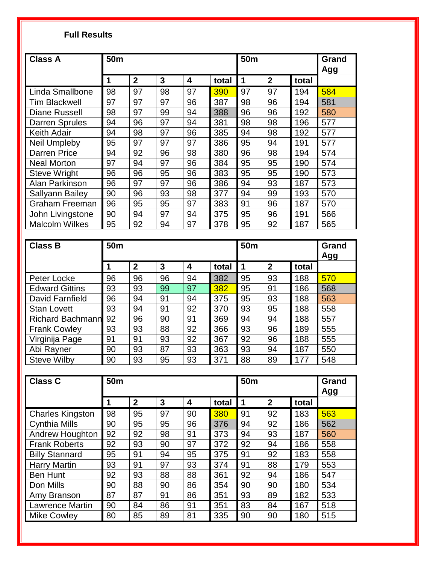## **Full Results**

| <b>Class A</b>         | 50 <sub>m</sub> |              |    |    | 50 <sub>m</sub> |    |                | Grand<br>Agg |     |
|------------------------|-----------------|--------------|----|----|-----------------|----|----------------|--------------|-----|
|                        | 1               | $\mathbf{2}$ | 3  | 4  | total           | 1  | $\overline{2}$ | total        |     |
| Linda Smallbone        | 98              | 97           | 98 | 97 | 390             | 97 | 97             | 194          | 584 |
| <b>Tim Blackwell</b>   | 97              | 97           | 97 | 96 | 387             | 98 | 96             | 194          | 581 |
| <b>Diane Russell</b>   | 98              | 97           | 99 | 94 | 388             | 96 | 96             | 192          | 580 |
| <b>Darren Sprules</b>  | 94              | 96           | 97 | 94 | 381             | 98 | 98             | 196          | 577 |
| <b>Keith Adair</b>     | 94              | 98           | 97 | 96 | 385             | 94 | 98             | 192          | 577 |
| <b>Neil Umpleby</b>    | 95              | 97           | 97 | 97 | 386             | 95 | 94             | 191          | 577 |
| <b>Darren Price</b>    | 94              | 92           | 96 | 98 | 380             | 96 | 98             | 194          | 574 |
| <b>Neal Morton</b>     | 97              | 94           | 97 | 96 | 384             | 95 | 95             | 190          | 574 |
| <b>Steve Wright</b>    | 96              | 96           | 95 | 96 | 383             | 95 | 95             | 190          | 573 |
| Alan Parkinson         | 96              | 97           | 97 | 96 | 386             | 94 | 93             | 187          | 573 |
| <b>Sallyann Bailey</b> | 90              | 96           | 93 | 98 | 377             | 94 | 99             | 193          | 570 |
| <b>Graham Freeman</b>  | 96              | 95           | 95 | 97 | 383             | 91 | 96             | 187          | 570 |
| John Livingstone       | 90              | 94           | 97 | 94 | 375             | 95 | 96             | 191          | 566 |
| <b>Malcolm Wilkes</b>  | 95              | 92           | 94 | 97 | 378             | 95 | 92             | 187          | 565 |

| <b>Class B</b>        | 50 <sub>m</sub> |                |    |    | 50 <sub>m</sub> |    |              | Grand<br>Agg |     |
|-----------------------|-----------------|----------------|----|----|-----------------|----|--------------|--------------|-----|
|                       | 1               | $\overline{2}$ | 3  | 4  | total           | -1 | $\mathbf{2}$ | total        |     |
| Peter Locke           | 96              | 96             | 96 | 94 | 382             | 95 | 93           | 188          | 570 |
| <b>Edward Gittins</b> | 93              | 93             | 99 | 97 | 382             | 95 | 91           | 186          | 568 |
| David Farnfield       | 96              | 94             | 91 | 94 | 375             | 95 | 93           | 188          | 563 |
| <b>Stan Lovett</b>    | 93              | 94             | 91 | 92 | 370             | 93 | 95           | 188          | 558 |
| Richard Bachmann 92   |                 | 96             | 90 | 91 | 369             | 94 | 94           | 188          | 557 |
| <b>Frank Cowley</b>   | 93              | 93             | 88 | 92 | 366             | 93 | 96           | 189          | 555 |
| Virginija Page        | 91              | 91             | 93 | 92 | 367             | 92 | 96           | 188          | 555 |
| Abi Rayner            | 90              | 93             | 87 | 93 | 363             | 93 | 94           | 187          | 550 |
| <b>Steve Wilby</b>    | 90              | 93             | 95 | 93 | 371             | 88 | 89           | 177          | 548 |

| <b>Class C</b>          | 50 <sub>m</sub> |                |    |    | 50 <sub>m</sub> | Grand<br>Agg |                |       |     |
|-------------------------|-----------------|----------------|----|----|-----------------|--------------|----------------|-------|-----|
|                         | 1               | $\overline{2}$ | 3  | 4  | total           | 1            | $\overline{2}$ | total |     |
| <b>Charles Kingston</b> | 98              | 95             | 97 | 90 | 380             | 91           | 92             | 183   | 563 |
| <b>Cynthia Mills</b>    | 90              | 95             | 95 | 96 | 376             | 94           | 92             | 186   | 562 |
| Andrew Houghton         | 92              | 92             | 98 | 91 | 373             | 94           | 93             | 187   | 560 |
| <b>Frank Roberts</b>    | 92              | 93             | 90 | 97 | 372             | 92           | 94             | 186   | 558 |
| <b>Billy Stannard</b>   | 95              | 91             | 94 | 95 | 375             | 91           | 92             | 183   | 558 |
| <b>Harry Martin</b>     | 93              | 91             | 97 | 93 | 374             | 91           | 88             | 179   | 553 |
| <b>Ben Hunt</b>         | 92              | 93             | 88 | 88 | 361             | 92           | 94             | 186   | 547 |
| Don Mills               | 90              | 88             | 90 | 86 | 354             | 90           | 90             | 180   | 534 |
| Amy Branson             | 87              | 87             | 91 | 86 | 351             | 93           | 89             | 182   | 533 |
| <b>Lawrence Martin</b>  | 90              | 84             | 86 | 91 | 351             | 83           | 84             | 167   | 518 |
| <b>Mike Cowley</b>      | 80              | 85             | 89 | 81 | 335             | 90           | 90             | 180   | 515 |